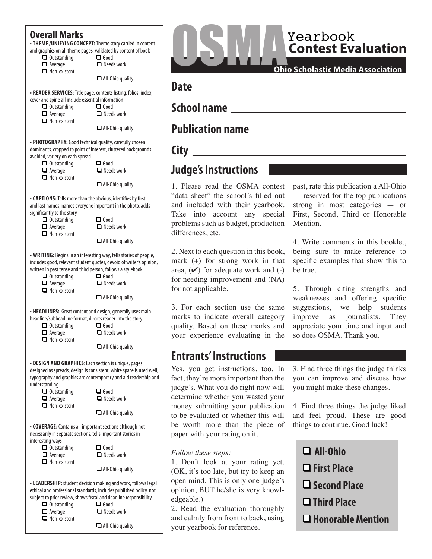### **Overall Marks**

**• THEME / UNIFYING CONCEPT:** Theme story carried in content and graphics on all theme pages, validated by content of book

- **Q** Outstanding **Q** Good  $\Box$  Average  $\Box$  Needs work
- $\Box$  Non-existent

 $\Box$  All-Ohio quality

**• READER SERVICES:** Title page, contents listing, folios, index,

- cover and spine all include essential information<br>  $\Box$  Outstanding  $\Box$  Outstanding  $\Box$  Average  $\blacksquare$  Needs work
	- $\Box$  Non-existent

 $\Box$  All-Ohio quality

• PHOTOGRAPHY: Good technical quality, carefully chosen dominants, cropped to point of interest, cluttered backgrounds avoided, variety on each spread

- q Outstanding q Good  $\blacksquare$  Needs work
- $\Box$  Non-existent

 $\Box$  All-Ohio quality

**• CAPTIONS:** Tells more than the obvious, identifies by first and last names, names everyone important in the photo, adds significantly to the story

| $\Box$ Outstanding<br>$\Box$ Average | $\Box$ Good<br>$\Box$ Needs work |
|--------------------------------------|----------------------------------|
| $\blacksquare$ Non-existent          |                                  |
|                                      | $\Box$ All-Ohio quality          |

**• WRITING:** Begins in an interesting way, tells stories of people, includes good, relevant student quotes, devoid of writer's opinion, written in past tense and third person, follows a stylebook

| written in past tense and third person, ronows a stylebook |
|------------------------------------------------------------|
| $\Box$ Good                                                |
| $\Box$ Needs work                                          |
|                                                            |
| $\Box$ All-Ohio quality                                    |
|                                                            |
|                                                            |

**• HEADLINES:** Great content and design, generally uses main headline/subheadline format, directs reader into the story<br>  $\Box$  Outstanding<br>  $\Box$  Good

- $\Box$  Outstanding
- $\Box$  Average  $\Box$  Needs work
- $\Box$  Non-existent

 $\Box$  All-Ohio quality

**• DESIGN AND GRAPHICS:** Each section is unique, pages designed as spreads, design is consistent, white space is used well, typography and graphics are contemporary and aid readership and understanding

| $\Box$ Outstanding                                                                                                              | $\Box$ Good             |  |
|---------------------------------------------------------------------------------------------------------------------------------|-------------------------|--|
| $\Box$ Average                                                                                                                  | $\Box$ Needs work       |  |
| $\Box$ Non-existent                                                                                                             | $\Box$ All-Ohio quality |  |
| • <b>COVERAGE:</b> Contains all important sections although not<br>necessarily in separate sections, tells important stories in |                         |  |
| interesting ways<br>$\Box$ Outstanding                                                                                          | $\Box$ Good             |  |
| $\Box$ Average<br>$\Box$ Non-existent                                                                                           | $\Box$ Needs work       |  |
|                                                                                                                                 | $\Box$ All-Ohio quality |  |
|                                                                                                                                 |                         |  |

**• LEADERSHIP:** student decision making and work, follows legal ethical and professional standards, includes published policy, not subject to prior review, shows fscal and deadline responsibility

| $\Box$ Outstanding  | $\Box$ Good             |
|---------------------|-------------------------|
| $\Box$ Average      | $\Box$ Needs work       |
| $\Box$ Non-existent |                         |
|                     | $\Box$ All-Ohio quality |

**Contest Evaluation** Yearbook

Mention.

be true.

**Date** \_\_\_\_\_\_\_\_\_\_\_\_\_\_\_\_\_\_\_

**4DIPPMOBILITY SCHOOL REPORTS** 

## **1988** Publication name

# **Sity Similarly Expanding City**

## **Judge's Instructions**

1. Please read the OSMA contest "data sheet" the school's flled out and included with their yearbook. Take into account any special problems such as budget, production differences, etc.

2. Next to each question in this book, mark (+) for strong work in that area,  $(\vee)$  for adequate work and  $(-)$ for needing improvement and (NA) for not applicable.

3. For each section use the same marks to indicate overall category quality. Based on these marks and your experience evaluating in the

## **Entrants' Instructions**

Yes, you get instructions, too. In fact, they're more important than the judge's. What you do right now will determine whether you wasted your money submitting your publication to be evaluated or whether this will be worth more than the piece of paper with your rating on it.

### *Follow these steps:*

1. Don't look at your rating yet. (OK, it's too late, but try to keep an open mind. This is only one judge's opinion, BUT he/she is very knowledgeable.)

2. Read the evaluation thoroughly and calmly from front to back, using your yearbook for reference.

**Ohio Scholastic Media Association**

5. Through citing strengths and weaknesses and offering specifc suggestions, we help students

past, rate this publication a All-Ohio — reserved for the top publications strong in most categories — or First, Second, Third or Honorable

4. Write comments in this booklet, being sure to make reference to specifc examples that show this to

improve as journalists. They appreciate your time and input and so does OSMA. Thank you.

3. Find three things the judge thinks you can improve and discuss how you might make these changes.

4. Find three things the judge liked and feel proud. These are good things to continue. Good luck!

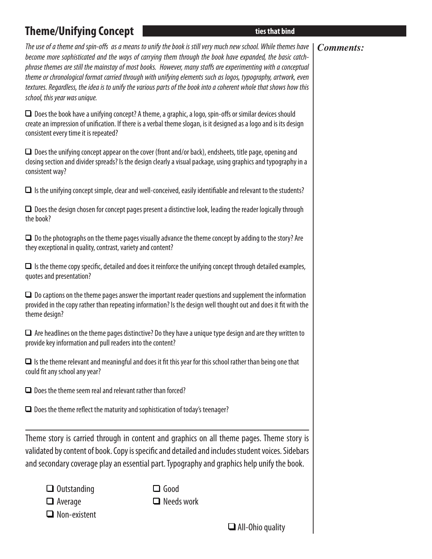# **Find Figure 1 Galaxy Concept 1 Galaxy Concept 1 Galaxy Concept 1 Galaxy Concept 1 Galaxy Concept 1 Galaxy Concept 1 Galaxy Concept 1 Galaxy Concept 1 Galaxy Concept 1 Galaxy Concept 1 Galaxy Concept 1 Galaxy Concept 1 Gal**

### *Comments:*

*The use of a theme and spin-o*f*s as a means to unify the book is still very much new school. While themes have become more sophisticated and the ways of carrying them through the book have expanded, the basic catchphrase themes are still the mainstay of most books. However, many sta*f*s are experimenting with a conceptual theme or chronological format carried through with unifying elements such as logos, typography, artwork, even textures. Regardless, the idea is to unify the various parts of the book into a coherent whole that shows how this school, this year was unique.* 

 $\Box$  Does the book have a unifying concept? A theme, a graphic, a logo, spin-offs or similar devices should create an impression of unifcation. If there is a verbal theme slogan, is it designed as a logo and is its design consistent every time it is repeated?

 $\Box$  Does the unifying concept appear on the cover (front and/or back), endsheets, title page, opening and closing section and divider spreads? Is the design clearly a visual package, using graphics and typography in a consistent way?

 $\Box$  Is the unifying concept simple, clear and well-conceived, easily identifiable and relevant to the students?

 $\Box$  Does the design chosen for concept pages present a distinctive look, leading the reader logically through the book?

 $\Box$  Do the photographs on the theme pages visually advance the theme concept by adding to the story? Are they exceptional in quality, contrast, variety and content?

 $\Box$  Is the theme copy specific, detailed and does it reinforce the unifying concept through detailed examples, quotes and presentation?

 $\Box$  Do captions on the theme pages answer the important reader questions and supplement the information provided in the copy rather than repeating information? Is the design well thought out and does it ft with the theme design?

 $\Box$  Are headlines on the theme pages distinctive? Do they have a unique type design and are they written to provide key information and pull readers into the content?

 $\Box$  Is the theme relevant and meaningful and does it fit this year for this school rather than being one that could fit any school any year?

 $\Box$  Does the theme seem real and relevant rather than forced?

 $\Box$  Does the theme reflect the maturity and sophistication of today's teenager?

Theme story is carried through in content and graphics on all theme pages. Theme story is validated by content of book. Copy is specifc and detailed and includes student voices. Sidebars and secondary coverage play an essential part. Typography and graphics help unify the book.

| $\Box$ Outstandinc |
|--------------------|
|                    |

q Outstanding q Good  $\Box$  Average  $\Box$  Needs work

 $\Box$  Non-existent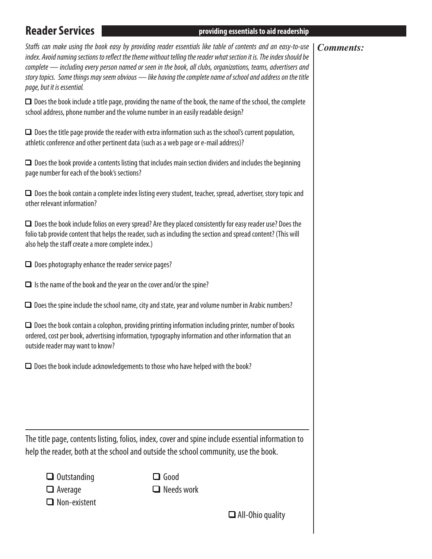### **3FBEFS4FS AFBIFS AFBIFS AFBIFS AT A STATE STATE STATE STATE STATE STATE STATE STATE STATE STATE STATE STATE STATE STATE STATE STATE STATE STATE STATE STATE STATE STATE STATE STATE STATE STATE STATE STATE STATE STATE STATE**

### *Comments:*

*Sta*f*s can make using the book easy by providing reader essentials like table of contents and an easy-to-use index. Avoid naming sections to re*f*ect the theme without telling the reader what section it is. The index should be complete — including every person named or seen in the book, all clubs, organizations, teams, advertisers and story topics. Some things may seem obvious — like having the complete name of school and address on the title page, but it is essential.* 

 $\Box$  Does the book include a title page, providing the name of the book, the name of the school, the complete school address, phone number and the volume number in an easily readable design?

 $\Box$  Does the title page provide the reader with extra information such as the school's current population, athletic conference and other pertinent data (such as a web page or e-mail address)?

 $\Box$  Does the book provide a contents listing that includes main section dividers and includes the beginning page number for each of the book's sections?

 $\Box$  Does the book contain a complete index listing every student, teacher, spread, advertiser, story topic and other relevant information?

 $\Box$  Does the book include folios on every spread? Are they placed consistently for easy reader use? Does the folio tab provide content that helps the reader, such as including the section and spread content? (This will also help the staff create a more complete index.)

 $\Box$  Does photography enhance the reader service pages?

 $\Box$  Is the name of the book and the year on the cover and/or the spine?

 $\Box$  Does the spine include the school name, city and state, year and volume number in Arabic numbers?

 $\Box$  Does the book contain a colophon, providing printing information including printer, number of books ordered, cost per book, advertising information, typography information and other information that an outside reader may want to know?

 $\Box$  Does the book include acknowledgements to those who have helped with the book?

The title page, contents listing, folios, index, cover and spine include essential information to help the reader, both at the school and outside the school community, use the book.

| $\Box$ Outstanding  |
|---------------------|
| $\Box$ Average      |
| $\Box$ Non-existent |

 $\Box$  Good  $\Box$  Needs work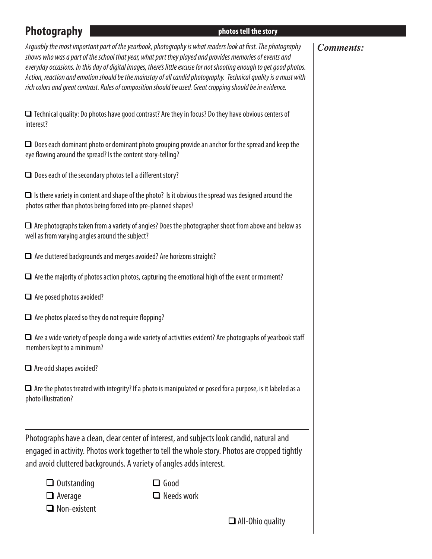### **1IPURTURES 1IPURE 2018 19:00 DETERMINIFTUPS ASSOCIATES AND LOCAL TO A PROPERTY ASSOCIATES AND LOCAL TO A PROPERTY OF A PROPERTY OF A PROPERTY OF A PROPERTY OF A PROPERTY OF A PROPERTY OF A PROPERTY OF A PROPERTY OF A PR**

### *Comments:*

*Arguably the most important part of the yearbook, photography is what readers look at* f*rst. The photography shows who was a part of the school that year, what part they played and provides memories of events and everyday occasions. In this day of digital images, there's little excuse for not shooting enough to get good photos. Action, reaction and emotion should be the mainstay of all candid photography. Technical quality is a must with rich colors and great contrast. Rules of composition should be used. Great cropping should be in evidence.* 

 $\Box$  Technical quality: Do photos have good contrast? Are they in focus? Do they have obvious centers of interest?

 $\Box$  Does each dominant photo or dominant photo grouping provide an anchor for the spread and keep the eye flowing around the spread? Is the content story-telling?

 $\Box$  Does each of the secondary photos tell a different story?

 $\Box$  Is there variety in content and shape of the photo? Is it obvious the spread was designed around the photos rather than photos being forced into pre-planned shapes?

 $\Box$  Are photographs taken from a variety of angles? Does the photographer shoot from above and below as well as from varying angles around the subject?

 $\Box$  Are cluttered backgrounds and merges avoided? Are horizons straight?

 $\Box$  Are the majority of photos action photos, capturing the emotional high of the event or moment?

 $\Box$  Are posed photos avoided?

 $\Box$  Are photos placed so they do not require flopping?

 $\Box$  Are a wide variety of people doing a wide variety of activities evident? Are photographs of yearbook staff members kept to a minimum?

 $\Box$  Are odd shapes avoided?

 $\Box$  Are the photos treated with integrity? If a photo is manipulated or posed for a purpose, is it labeled as a photo illustration?

Photographs have a clean, clear center of interest, and subjects look candid, natural and engaged in activity. Photos work together to tell the whole story. Photos are cropped tightly and avoid cluttered backgrounds. A variety of angles adds interest.

q  $\Box$  Good

 $\Box$  Average  $\Box$  Needs work  $\Box$  Non-existent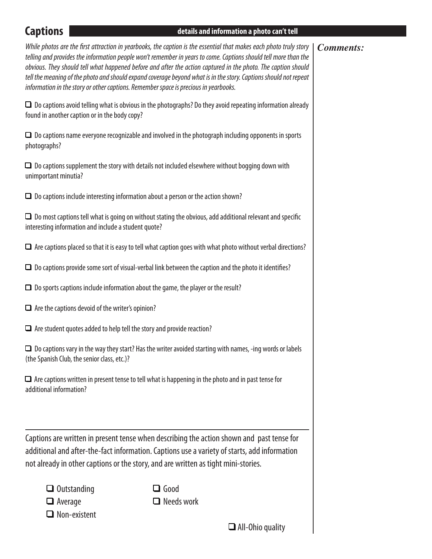### **Example 1 Algorithment Captions EFUBL EFUBLE 2 Algorithment Captions EFUBLE 2 Algorithment Captions EFUBLE 2 Algorithment Captions**

### *Comments:*

*While photos are the* f*rst attraction in yearbooks, the caption is the essential that makes each photo truly story telling and provides the information people won't remember in years to come. Captions should tell more than the obvious. They should tell what happened before and after the action captured in the photo. The caption should tell the meaning of the photo and should expand coverage beyond what is in the story. Captions should not repeat information in the story or other captions. Remember space is precious in yearbooks.* 

 $\Box$  Do captions avoid telling what is obvious in the photographs? Do they avoid repeating information already found in another caption or in the body copy?

 $\Box$  Do captions name everyone recognizable and involved in the photograph including opponents in sports photographs?

 $\Box$  Do captions supplement the story with details not included elsewhere without bogging down with unimportant minutia?

 $\Box$  Do captions include interesting information about a person or the action shown?

 $\Box$  Do most captions tell what is going on without stating the obvious, add additional relevant and specific interesting information and include a student quote?

 $\Box$  Are captions placed so that it is easy to tell what caption goes with what photo without verbal directions?

 $\Box$  Do captions provide some sort of visual-verbal link between the caption and the photo it identifies?

 $\Box$  Do sports captions include information about the game, the player or the result?

 $\Box$  Are the captions devoid of the writer's opinion?

 $\Box$  Are student quotes added to help tell the story and provide reaction?

 $\Box$  Do captions vary in the way they start? Has the writer avoided starting with names, -ing words or labels (the Spanish Club, the senior class, etc.)?

 $\Box$  Are captions written in present tense to tell what is happening in the photo and in past tense for additional information?

Captions are written in present tense when describing the action shown and past tense for additional and after-the-fact information. Captions use a variety of starts, add information not already in other captions or the story, and are written as tight mini-stories.

| $\Box$ Outstanding |
|--------------------|
| $\Box$ Average     |

 $\Box$  Good  $\Box$  Needs work

 $\Box$  Non-existent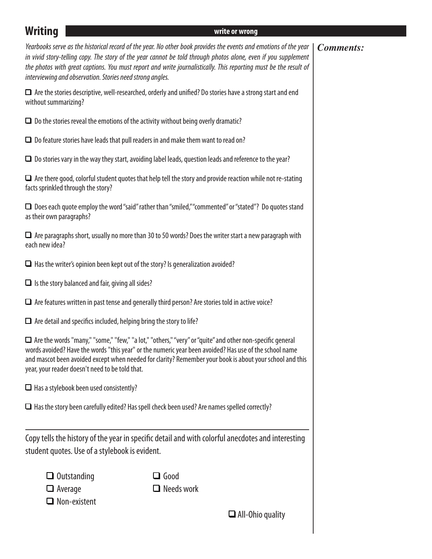| <b>Writing</b>                                                                                                                                                                                                                                                                                                                                                                           |                                                                                        | write or wrong                                                                                                                                                                                                                                                                                                                                         |                  |
|------------------------------------------------------------------------------------------------------------------------------------------------------------------------------------------------------------------------------------------------------------------------------------------------------------------------------------------------------------------------------------------|----------------------------------------------------------------------------------------|--------------------------------------------------------------------------------------------------------------------------------------------------------------------------------------------------------------------------------------------------------------------------------------------------------------------------------------------------------|------------------|
|                                                                                                                                                                                                                                                                                                                                                                                          | interviewing and observation. Stories need strong angles.                              | Yearbooks serve as the historical record of the year. No other book provides the events and emotions of the year<br>in vivid story-telling copy. The story of the year cannot be told through photos alone, even if you supplement<br>the photos with great captions. You must report and write journalistically. This reporting must be the result of | <b>Comments:</b> |
| without summarizing?                                                                                                                                                                                                                                                                                                                                                                     |                                                                                        | $\Box$ Are the stories descriptive, well-researched, orderly and unified? Do stories have a strong start and end                                                                                                                                                                                                                                       |                  |
|                                                                                                                                                                                                                                                                                                                                                                                          |                                                                                        | $\Box$ Do the stories reveal the emotions of the activity without being overly dramatic?                                                                                                                                                                                                                                                               |                  |
|                                                                                                                                                                                                                                                                                                                                                                                          |                                                                                        | $\Box$ Do feature stories have leads that pull readers in and make them want to read on?                                                                                                                                                                                                                                                               |                  |
|                                                                                                                                                                                                                                                                                                                                                                                          |                                                                                        | $\Box$ Do stories vary in the way they start, avoiding label leads, question leads and reference to the year?                                                                                                                                                                                                                                          |                  |
| $\Box$ Are there good, colorful student quotes that help tell the story and provide reaction while not re-stating<br>facts sprinkled through the story?                                                                                                                                                                                                                                  |                                                                                        |                                                                                                                                                                                                                                                                                                                                                        |                  |
| $\Box$ Does each quote employ the word "said" rather than "smiled," "commented" or "stated"? Do quotes stand<br>as their own paragraphs?                                                                                                                                                                                                                                                 |                                                                                        |                                                                                                                                                                                                                                                                                                                                                        |                  |
| $\Box$ Are paragraphs short, usually no more than 30 to 50 words? Does the writer start a new paragraph with<br>each new idea?                                                                                                                                                                                                                                                           |                                                                                        |                                                                                                                                                                                                                                                                                                                                                        |                  |
|                                                                                                                                                                                                                                                                                                                                                                                          | $\Box$ Has the writer's opinion been kept out of the story? Is generalization avoided? |                                                                                                                                                                                                                                                                                                                                                        |                  |
|                                                                                                                                                                                                                                                                                                                                                                                          | $\Box$ Is the story balanced and fair, giving all sides?                               |                                                                                                                                                                                                                                                                                                                                                        |                  |
| $\Box$ Are features written in past tense and generally third person? Are stories told in active voice?                                                                                                                                                                                                                                                                                  |                                                                                        |                                                                                                                                                                                                                                                                                                                                                        |                  |
|                                                                                                                                                                                                                                                                                                                                                                                          | $\Box$ Are detail and specifics included, helping bring the story to life?             |                                                                                                                                                                                                                                                                                                                                                        |                  |
| $\Box$ Are the words "many," "some," "few," "a lot," "others," "very" or "quite" and other non-specific general<br>words avoided? Have the words "this year" or the numeric year been avoided? Has use of the school name<br>and mascot been avoided except when needed for clarity? Remember your book is about your school and this<br>year, your reader doesn't need to be told that. |                                                                                        |                                                                                                                                                                                                                                                                                                                                                        |                  |
|                                                                                                                                                                                                                                                                                                                                                                                          | $\Box$ Has a stylebook been used consistently?                                         |                                                                                                                                                                                                                                                                                                                                                        |                  |
|                                                                                                                                                                                                                                                                                                                                                                                          |                                                                                        | $\Box$ Has the story been carefully edited? Has spell check been used? Are names spelled correctly?                                                                                                                                                                                                                                                    |                  |
|                                                                                                                                                                                                                                                                                                                                                                                          | student quotes. Use of a stylebook is evident.                                         | Copy tells the history of the year in specific detail and with colorful anecdotes and interesting                                                                                                                                                                                                                                                      |                  |
|                                                                                                                                                                                                                                                                                                                                                                                          | $\Box$ Outstanding<br>$\Box$ Average<br>$\Box$ Non-existent                            | $\Box$ Good<br>$\Box$ Needs work                                                                                                                                                                                                                                                                                                                       |                  |
|                                                                                                                                                                                                                                                                                                                                                                                          |                                                                                        | $\Box$ All-Ohio quality                                                                                                                                                                                                                                                                                                                                |                  |
|                                                                                                                                                                                                                                                                                                                                                                                          |                                                                                        |                                                                                                                                                                                                                                                                                                                                                        |                  |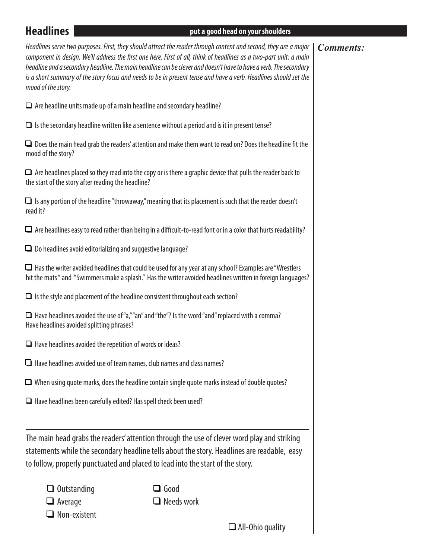### **FIEXALLINES III. CONTRACT CONTRACT CONTRACT CONTRACT CONTRACT CONTRACT CONTRACT CONTRACT CONTRACT CONTRACT CONTRACT CONTRACT CONTRACT CONTRACT CONTRACT CONTRACT CONTRACT CONTRACT CONTRACT CONTRACT CONTRACT CONTRACT CO**

### *Comments:*

*Headlines serve two purposes. First, they should attract the reader through content and second, they are a major component in design. We'll address the* f*rst one here. First of all, think of headlines as a two-part unit: a main headline and a secondary headline. The main headline can be clever and doesn't have to have a verb. The secondary is a short summary of the story focus and needs to be in present tense and have a verb. Headlines should set the mood of the story.*

 $\Box$  Are headline units made up of a main headline and secondary headline?

 $\Box$  Is the secondary headline written like a sentence without a period and is it in present tense?

 $\Box$  Does the main head grab the readers' attention and make them want to read on? Does the headline fit the mood of the story?

 $\Box$  Are headlines placed so they read into the copy or is there a graphic device that pulls the reader back to the start of the story after reading the headline?

 $\Box$  Is any portion of the headline "throwaway," meaning that its placement is such that the reader doesn't read it?

 $\Box$  Are headlines easy to read rather than being in a difficult-to-read font or in a color that hurts readability?

 $\Box$  Do headlines avoid editorializing and suggestive language?

 $\Box$  Has the writer avoided headlines that could be used for any year at any school? Examples are "Wrestlers" hit the mats " and "Swimmers make a splash." Has the writer avoided headlines written in foreign languages?

 $\Box$  Is the style and placement of the headline consistent throughout each section?

 $\Box$  Have headlines avoided the use of "a," "an" and "the"? Is the word "and" replaced with a comma? Have headlines avoided splitting phrases?

 $\Box$  Have headlines avoided the repetition of words or ideas?

 $\Box$  Have headlines avoided use of team names, club names and class names?

 $\Box$  When using quote marks, does the headline contain single quote marks instead of double quotes?

 $\Box$  Have headlines been carefully edited? Has spell check been used?

The main head grabs the readers' attention through the use of clever word play and striking statements while the secondary headline tells about the story. Headlines are readable, easy to follow, properly punctuated and placed to lead into the start of the story.

| $\Box$ Outstanding |
|--------------------|
| Average            |

 $\Box$  Good  $\Box$  Average  $\Box$  Needs work

 $\Box$  Non-existent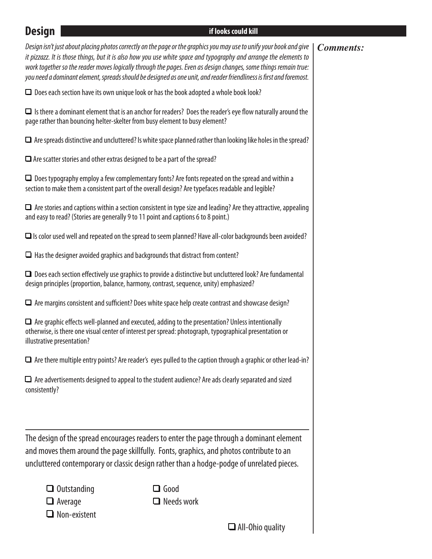# **Design Contract Contract Contract Contract Contract Contract Contract Contract Contract Contract Contract Contract Contract Contract Contract Contract Contract Contract Contract Contract Contract Contract Contract Contr**

|                                                                                                                                                                                                             | Design isn't just about placing photos correctly on the page or the graphics you may use to unify your book and give<br>it pizzazz. It is those things, but it is also how you use white space and typography and arrange the elements to<br>work together so the reader moves logically through the pages. Even as design changes, some things remain true:<br>you need a dominant element, spreads should be designed as one unit, and reader friendliness is first and foremost. | <b>Comments:</b> |
|-------------------------------------------------------------------------------------------------------------------------------------------------------------------------------------------------------------|-------------------------------------------------------------------------------------------------------------------------------------------------------------------------------------------------------------------------------------------------------------------------------------------------------------------------------------------------------------------------------------------------------------------------------------------------------------------------------------|------------------|
|                                                                                                                                                                                                             | $\Box$ Does each section have its own unique look or has the book adopted a whole book look?                                                                                                                                                                                                                                                                                                                                                                                        |                  |
| page rather than bouncing helter-skelter from busy element to busy element?                                                                                                                                 | $\Box$ Is there a dominant element that is an anchor for readers? Does the reader's eye flow naturally around the                                                                                                                                                                                                                                                                                                                                                                   |                  |
|                                                                                                                                                                                                             | $\Box$ Are spreads distinctive and uncluttered? Is white space planned rather than looking like holes in the spread?                                                                                                                                                                                                                                                                                                                                                                |                  |
| $\Box$ Are scatter stories and other extras designed to be a part of the spread?                                                                                                                            |                                                                                                                                                                                                                                                                                                                                                                                                                                                                                     |                  |
|                                                                                                                                                                                                             | $\Box$ Does typography employ a few complementary fonts? Are fonts repeated on the spread and within a<br>section to make them a consistent part of the overall design? Are typefaces readable and legible?                                                                                                                                                                                                                                                                         |                  |
| and easy to read? (Stories are generally 9 to 11 point and captions 6 to 8 point.)                                                                                                                          | $\Box$ Are stories and captions within a section consistent in type size and leading? Are they attractive, appealing                                                                                                                                                                                                                                                                                                                                                                |                  |
|                                                                                                                                                                                                             | $\Box$ Is color used well and repeated on the spread to seem planned? Have all-color backgrounds been avoided?                                                                                                                                                                                                                                                                                                                                                                      |                  |
| $\Box$ Has the designer avoided graphics and backgrounds that distract from content?                                                                                                                        |                                                                                                                                                                                                                                                                                                                                                                                                                                                                                     |                  |
| $\Box$ Does each section effectively use graphics to provide a distinctive but uncluttered look? Are fundamental<br>design principles (proportion, balance, harmony, contrast, sequence, unity) emphasized? |                                                                                                                                                                                                                                                                                                                                                                                                                                                                                     |                  |
|                                                                                                                                                                                                             | $\Box$ Are margins consistent and sufficient? Does white space help create contrast and showcase design?                                                                                                                                                                                                                                                                                                                                                                            |                  |
| illustrative presentation?                                                                                                                                                                                  | $\Box$ Are graphic effects well-planned and executed, adding to the presentation? Unless intentionally<br>otherwise, is there one visual center of interest per spread: photograph, typographical presentation or                                                                                                                                                                                                                                                                   |                  |
|                                                                                                                                                                                                             | $\Box$ Are there multiple entry points? Are reader's eyes pulled to the caption through a graphic or other lead-in?                                                                                                                                                                                                                                                                                                                                                                 |                  |
| consistently?                                                                                                                                                                                               | $\Box$ Are advertisements designed to appeal to the student audience? Are ads clearly separated and sized                                                                                                                                                                                                                                                                                                                                                                           |                  |
|                                                                                                                                                                                                             | The design of the spread encourages readers to enter the page through a dominant element<br>and moves them around the page skillfully. Fonts, graphics, and photos contribute to an<br>uncluttered contemporary or classic design rather than a hodge-podge of unrelated pieces.                                                                                                                                                                                                    |                  |
|                                                                                                                                                                                                             |                                                                                                                                                                                                                                                                                                                                                                                                                                                                                     |                  |
| $\Box$ Outstanding<br>$\Box$ Average                                                                                                                                                                        | $\Box$ Good<br>$\Box$ Needs work                                                                                                                                                                                                                                                                                                                                                                                                                                                    |                  |
| $\Box$ Non-existent                                                                                                                                                                                         |                                                                                                                                                                                                                                                                                                                                                                                                                                                                                     |                  |
|                                                                                                                                                                                                             | $\Box$ All-Ohio quality                                                                                                                                                                                                                                                                                                                                                                                                                                                             |                  |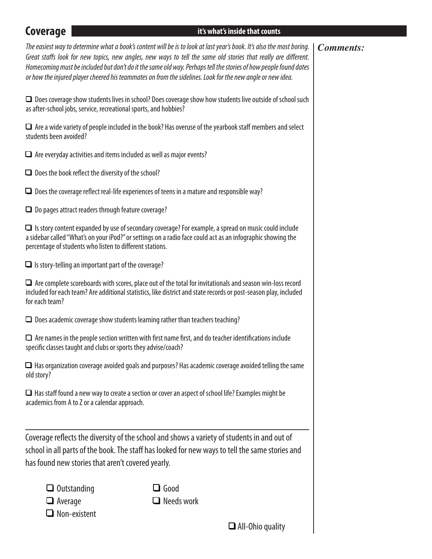old story?

**Experiment Coverage Coverage** *Coverage It's what's inside that counts The easiest way to determine what a book's content will be is to look at last year's book. It's also the most boring. Great sta*f*s look for new topics, new angles, new ways to tell the same old stories that really are di*f*erent. Homecoming must be included but don't do it the same old way. Perhaps tell the stories of how people found dates or how the injured player cheered his teammates on from the sidelines. Look for the new angle or new idea.*  $\Box$  Does coverage show students lives in school? Does coverage show how students live outside of school such as after-school jobs, service, recreational sports, and hobbies?  $\Box$  Are a wide variety of people included in the book? Has overuse of the yearbook staff members and select students been avoided?  $\Box$  Are everyday activities and items included as well as major events?  $\Box$  Does the book reflect the diversity of the school?  $\Box$  Does the coverage reflect real-life experiences of teens in a mature and responsible way?  $\Box$  Do pages attract readers through feature coverage?  $\Box$  Is story content expanded by use of secondary coverage? For example, a spread on music could include a sidebar called "What's on your iPod?" or settings on a radio face could act as an infographic showing the percentage of students who listen to diferent stations.  $\Box$  Is story-telling an important part of the coverage?  $\Box$  Are complete scoreboards with scores, place out of the total for invitationals and season win-loss record included for each team? Are additional statistics, like district and state records or post-season play, included for each team?  $\Box$  Does academic coverage show students learning rather than teachers teaching?  $\Box$  Are names in the people section written with first name first, and do teacher identifications include specifc classes taught and clubs or sports they advise/coach?  $\Box$  Has organization coverage avoided goals and purposes? Has academic coverage avoided telling the same  $\Box$  Has staff found a new way to create a section or cover an aspect of school life? Examples might be academics from A to Z or a calendar approach. *Comments:* Coverage refects the diversity of the school and shows a variety of students in and out of school in all parts of the book. The staff has looked for new ways to tell the same stories and has found new stories that aren't covered yearly.  $\Box$  Outstanding  $\Box$  Good  $\Box$  Average  $\Box$  Needs work  $\Box$  Non-existent